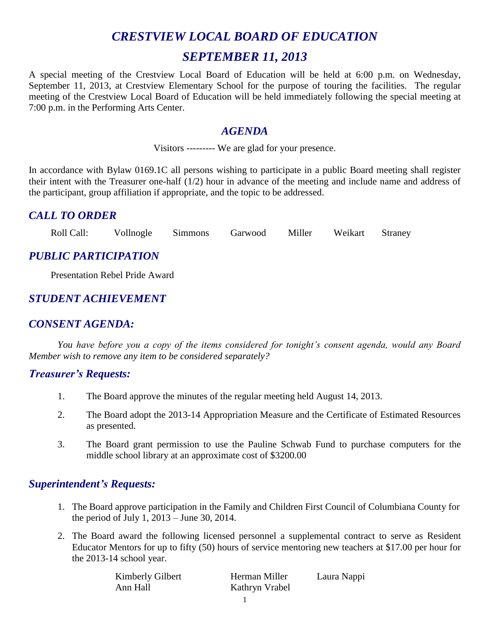# *CRESTVIEW LOCAL BOARD OF EDUCATION SEPTEMBER 11, 2013*

A special meeting of the Crestview Local Board of Education will be held at 6:00 p.m. on Wednesday, September 11, 2013, at Crestview Elementary School for the purpose of touring the facilities. The regular meeting of the Crestview Local Board of Education will be held immediately following the special meeting at 7:00 p.m. in the Performing Arts Center.

#### *AGENDA*

Visitors --------- We are glad for your presence.

In accordance with Bylaw 0169.1C all persons wishing to participate in a public Board meeting shall register their intent with the Treasurer one-half (1/2) hour in advance of the meeting and include name and address of the participant, group affiliation if appropriate, and the topic to be addressed.

## *CALL TO ORDER*

Roll Call: Vollnogle Simmons Garwood Miller Weikart Straney

## *PUBLIC PARTICIPATION*

Presentation Rebel Pride Award

# *STUDENT ACHIEVEMENT*

## *CONSENT AGENDA:*

*You have before you a copy of the items considered for tonight's consent agenda, would any Board Member wish to remove any item to be considered separately?*

#### *Treasurer's Requests:*

- 1. The Board approve the minutes of the regular meeting held August 14, 2013.
- 2. The Board adopt the 2013-14 Appropriation Measure and the Certificate of Estimated Resources as presented.
- 3. The Board grant permission to use the Pauline Schwab Fund to purchase computers for the middle school library at an approximate cost of \$3200.00

## *Superintendent's Requests:*

- 1. The Board approve participation in the Family and Children First Council of Columbiana County for the period of July 1, 2013 – June 30, 2014.
- 2. The Board award the following licensed personnel a supplemental contract to serve as Resident Educator Mentors for up to fifty (50) hours of service mentoring new teachers at \$17.00 per hour for the 2013-14 school year.

| Kimberly Gilbert | Herman Miller  | Laura Nappi |
|------------------|----------------|-------------|
| Ann Hall         | Kathryn Vrabel |             |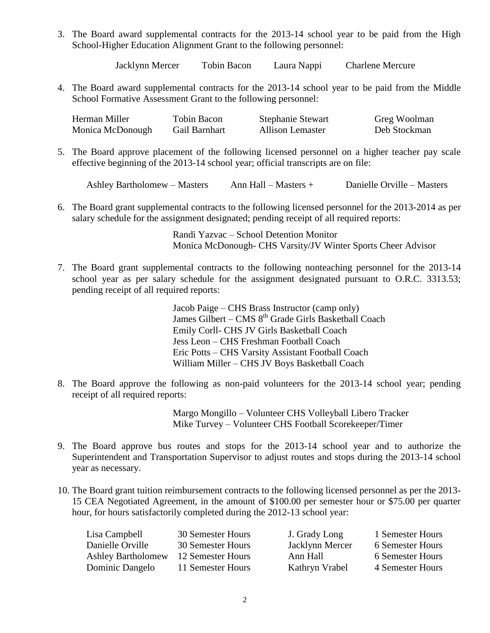3. The Board award supplemental contracts for the 2013-14 school year to be paid from the High School-Higher Education Alignment Grant to the following personnel:

Jacklynn Mercer Tobin Bacon Laura Nappi Charlene Mercure

4. The Board award supplemental contracts for the 2013-14 school year to be paid from the Middle School Formative Assessment Grant to the following personnel:

| Herman Miller    | Tobin Bacon   | <b>Stephanie Stewart</b> | Greg Woolman |
|------------------|---------------|--------------------------|--------------|
| Monica McDonough | Gail Barnhart | <b>Allison Lemaster</b>  | Deb Stockman |

5. The Board approve placement of the following licensed personnel on a higher teacher pay scale effective beginning of the 2013-14 school year; official transcripts are on file:

| Ashley Bartholomew – Masters | Ann Hall $-$ Masters $+$ | Danielle Orville – Masters |
|------------------------------|--------------------------|----------------------------|
|------------------------------|--------------------------|----------------------------|

6. The Board grant supplemental contracts to the following licensed personnel for the 2013-2014 as per salary schedule for the assignment designated; pending receipt of all required reports:

> Randi Yazvac – School Detention Monitor Monica McDonough- CHS Varsity/JV Winter Sports Cheer Advisor

7. The Board grant supplemental contracts to the following nonteaching personnel for the 2013-14 school year as per salary schedule for the assignment designated pursuant to O.R.C. 3313.53; pending receipt of all required reports:

> Jacob Paige – CHS Brass Instructor (camp only) James Gilbert – CMS 8<sup>th</sup> Grade Girls Basketball Coach Emily Corll- CHS JV Girls Basketball Coach Jess Leon – CHS Freshman Football Coach Eric Potts – CHS Varsity Assistant Football Coach William Miller – CHS JV Boys Basketball Coach

8. The Board approve the following as non-paid volunteers for the 2013-14 school year; pending receipt of all required reports:

> Margo Mongillo – Volunteer CHS Volleyball Libero Tracker Mike Turvey – Volunteer CHS Football Scorekeeper/Timer

- 9. The Board approve bus routes and stops for the 2013-14 school year and to authorize the Superintendent and Transportation Supervisor to adjust routes and stops during the 2013-14 school year as necessary.
- 10. The Board grant tuition reimbursement contracts to the following licensed personnel as per the 2013- 15 CEA Negotiated Agreement, in the amount of \$100.00 per semester hour or \$75.00 per quarter hour, for hours satisfactorily completed during the 2012-13 school year:

| Lisa Campbell             | 30 Semester Hours | J. Grady Long   | 1 Semester Hours |
|---------------------------|-------------------|-----------------|------------------|
| Danielle Orville          | 30 Semester Hours | Jacklynn Mercer | 6 Semester Hours |
| <b>Ashley Bartholomew</b> | 12 Semester Hours | Ann Hall        | 6 Semester Hours |
| Dominic Dangelo           | 11 Semester Hours | Kathryn Vrabel  | 4 Semester Hours |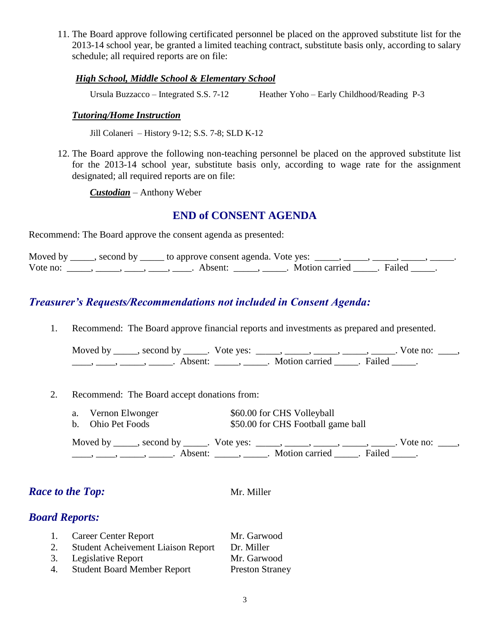11. The Board approve following certificated personnel be placed on the approved substitute list for the 2013-14 school year, be granted a limited teaching contract, substitute basis only, according to salary schedule; all required reports are on file:

#### *High School, Middle School & Elementary School*

Ursula Buzzacco – Integrated S.S. 7-12 Heather Yoho – Early Childhood/Reading P-3

#### *Tutoring/Home Instruction*

Jill Colaneri – History 9-12; S.S. 7-8; SLD K-12

12. The Board approve the following non-teaching personnel be placed on the approved substitute list for the 2013-14 school year, substitute basis only, according to wage rate for the assignment designated; all required reports are on file:

*Custodian* – Anthony Weber

#### **END of CONSENT AGENDA**

Recommend: The Board approve the consent agenda as presented:

Moved by \_\_\_\_, second by \_\_\_\_\_ to approve consent agenda. Vote yes: \_\_\_\_, \_\_\_\_, \_\_\_\_, \_\_\_\_, \_\_\_\_\_, Vote no: \_\_\_\_\_, \_\_\_\_, \_\_\_\_, \_\_\_\_, Absent: \_\_\_\_, \_\_\_\_\_. Motion carried \_\_\_\_. Failed \_\_\_\_.

## *Treasurer's Requests/Recommendations not included in Consent Agenda:*

1. Recommend: The Board approve financial reports and investments as prepared and presented.

Moved by \_\_\_\_\_, second by \_\_\_\_\_. Vote yes: \_\_\_\_\_, \_\_\_\_\_, \_\_\_\_\_, \_\_\_\_\_, \_\_\_\_\_. Vote no: \_\_\_\_, ——, ——, ——, ———, Absent: \_\_\_\_, \_\_\_\_\_. Motion carried \_\_\_\_\_. Failed \_\_\_\_.

2. Recommend: The Board accept donations from:

- a. Vernon Elwonger \$60.00 for CHS Volleyball
- b. Ohio Pet Foods  $$50.00$  for CHS Football game ball

Moved by \_\_\_\_\_, second by \_\_\_\_\_. Vote yes: \_\_\_\_\_, \_\_\_\_\_, \_\_\_\_\_, \_\_\_\_\_, \_\_\_\_\_. Vote no: \_\_\_\_, \_\_\_\_, \_\_\_\_\_, \_\_\_\_\_\_, Absent: \_\_\_\_\_, \_\_\_\_\_. Motion carried \_\_\_\_\_. Failed \_\_\_\_.

## *Race to the Top:* Mr. Miller

## *Board Reports:*

| 1. | <b>Career Center Report</b>               | Mr. Garwood            |
|----|-------------------------------------------|------------------------|
| 2. | <b>Student Acheivement Liaison Report</b> | Dr. Miller             |
|    | 3. Legislative Report                     | Mr. Garwood            |
| 4. | <b>Student Board Member Report</b>        | <b>Preston Straney</b> |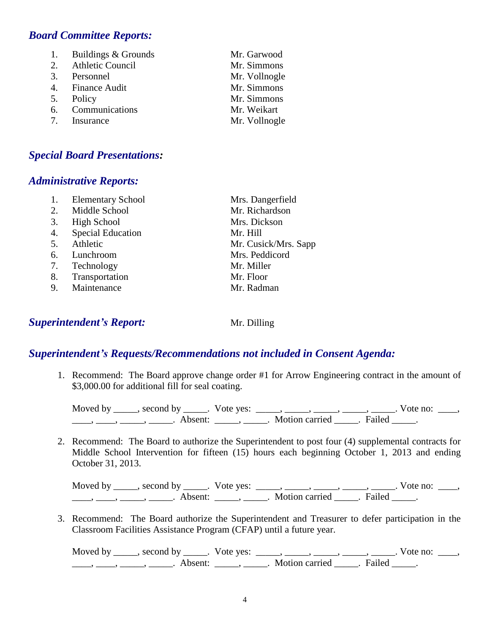### *Board Committee Reports:*

1. Buildings & Grounds Mr. Garwood 2. Athletic Council Mr. Simmons 3. Personnel Mr. Vollnogle 4. Finance Audit Mr. Simmons 5. Policy Mr. Simmons 6. Communications Mr. Weikart 7. Insurance Mr. Vollnogle

#### *Special Board Presentations:*

#### *Administrative Reports:*

|    | <b>Elementary School</b> | Mrs. Dangerfield     |
|----|--------------------------|----------------------|
| 2. | Middle School            | Mr. Richardson       |
| 3. | High School              | Mrs. Dickson         |
| 4. | <b>Special Education</b> | Mr. Hill             |
| 5. | Athletic                 | Mr. Cusick/Mrs. Sapp |
| 6. | Lunchroom                | Mrs. Peddicord       |
| 7. | Technology               | Mr. Miller           |
| 8. | Transportation           | Mr. Floor            |
| 9. | Maintenance              | Mr. Radman           |
|    |                          |                      |

#### **Superintendent's Report:** Mr. Dilling

#### *Superintendent's Requests/Recommendations not included in Consent Agenda:*

1. Recommend: The Board approve change order #1 for Arrow Engineering contract in the amount of \$3,000.00 for additional fill for seal coating.

Moved by \_\_\_\_\_, second by \_\_\_\_\_. Vote yes:  $\_\_\_\_\_\_\_\_\_\_\_\_\_\_\_\_\_\_\_\_$  \_\_\_\_,  $\_\_\_\_\_\_\_\_\_\_\_\_\_\_\_\_\_$ . Vote no:  $\_\_\_\_\_\_\_\_$  $\underline{\phantom{a}}$ ,  $\underline{\phantom{a}}$ ,  $\underline{\phantom{a}}$ ,  $\underline{\phantom{a}}$ ,  $\underline{\phantom{a}}$ ,  $\underline{\phantom{a}}$ ,  $\underline{\phantom{a}}$ ,  $\underline{\phantom{a}}$ ,  $\underline{\phantom{a}}$ ,  $\underline{\phantom{a}}$ ,  $\underline{\phantom{a}}$ ,  $\underline{\phantom{a}}$ ,  $\underline{\phantom{a}}$ ,  $\underline{\phantom{a}}$ ,  $\underline{\phantom{a}}$ ,  $\underline{\phantom{a}}$ ,  $\underline{\phantom{a}}$ ,

2. Recommend: The Board to authorize the Superintendent to post four (4) supplemental contracts for Middle School Intervention for fifteen (15) hours each beginning October 1, 2013 and ending October 31, 2013.

Moved by \_\_\_\_\_, second by \_\_\_\_\_. Vote yes:  $\_\_\_\_\_\_\_\_\_\_\_\_\_\_\_\_\_\_\_\_\_$  \_\_\_\_,  $\_\_\_\_\_\_\_\_\_\_\_\_\_\_\_\_$ . Vote no:  $\_\_\_\_\_\_\_\_$ \_\_\_\_, \_\_\_\_, \_\_\_\_\_, Absent: \_\_\_\_\_, \_\_\_\_\_. Motion carried \_\_\_\_\_. Failed \_\_\_\_\_.

3. Recommend: The Board authorize the Superintendent and Treasurer to defer participation in the Classroom Facilities Assistance Program (CFAP) until a future year.

Moved by \_\_\_\_\_, second by \_\_\_\_\_. Vote yes: \_\_\_\_\_, \_\_\_\_\_, \_\_\_\_\_, \_\_\_\_\_, \_\_\_\_\_. Vote no: \_\_\_\_, ——, ——, ——, ———, Absent: \_\_\_\_, \_\_\_\_\_. Motion carried \_\_\_\_\_. Failed \_\_\_\_.